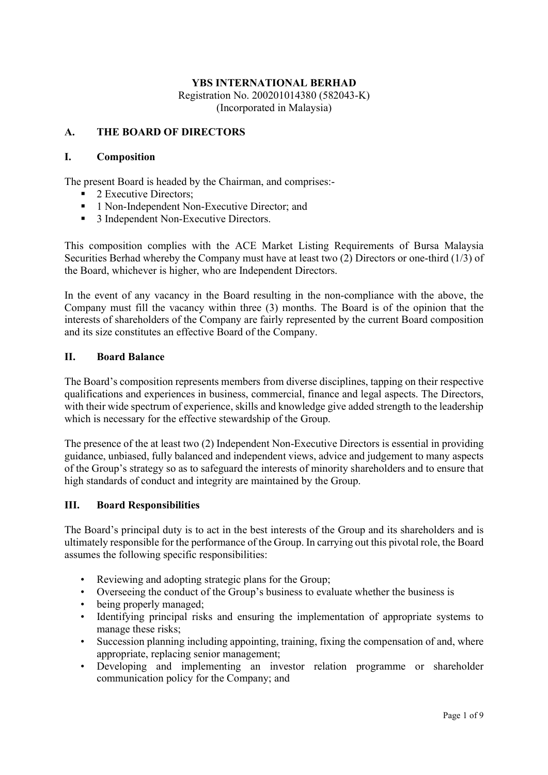## A. THE BOARD OF DIRECTORS

#### I. Composition

The present Board is headed by the Chairman, and comprises:-

- 2 Executive Directors;
- <sup>1</sup> 1 Non-Independent Non-Executive Director; and
- <sup>3</sup> Jndependent Non-Executive Directors.

This composition complies with the ACE Market Listing Requirements of Bursa Malaysia Securities Berhad whereby the Company must have at least two (2) Directors or one-third (1/3) of the Board, whichever is higher, who are Independent Directors.

In the event of any vacancy in the Board resulting in the non-compliance with the above, the Company must fill the vacancy within three (3) months. The Board is of the opinion that the interests of shareholders of the Company are fairly represented by the current Board composition and its size constitutes an effective Board of the Company.

#### II. Board Balance

The Board's composition represents members from diverse disciplines, tapping on their respective qualifications and experiences in business, commercial, finance and legal aspects. The Directors, with their wide spectrum of experience, skills and knowledge give added strength to the leadership which is necessary for the effective stewardship of the Group.

The presence of the at least two (2) Independent Non-Executive Directors is essential in providing guidance, unbiased, fully balanced and independent views, advice and judgement to many aspects of the Group's strategy so as to safeguard the interests of minority shareholders and to ensure that high standards of conduct and integrity are maintained by the Group.

### III. Board Responsibilities

The Board's principal duty is to act in the best interests of the Group and its shareholders and is ultimately responsible for the performance of the Group. In carrying out this pivotal role, the Board assumes the following specific responsibilities:

- Reviewing and adopting strategic plans for the Group;
- Overseeing the conduct of the Group's business to evaluate whether the business is
- being properly managed;
- Identifying principal risks and ensuring the implementation of appropriate systems to manage these risks;
- Succession planning including appointing, training, fixing the compensation of and, where appropriate, replacing senior management;
- Developing and implementing an investor relation programme or shareholder communication policy for the Company; and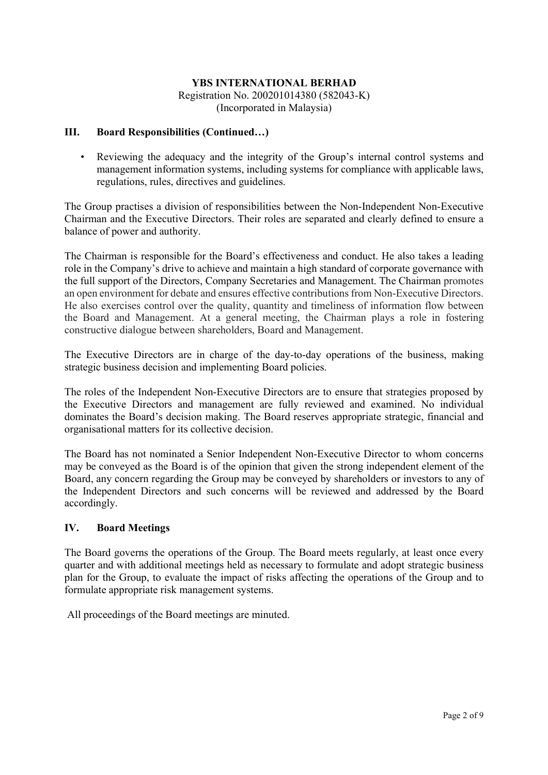#### III. Board Responsibilities (Continued…)

• Reviewing the adequacy and the integrity of the Group's internal control systems and management information systems, including systems for compliance with applicable laws, regulations, rules, directives and guidelines.

The Group practises a division of responsibilities between the Non-Independent Non-Executive Chairman and the Executive Directors. Their roles are separated and clearly defined to ensure a balance of power and authority.

The Chairman is responsible for the Board's effectiveness and conduct. He also takes a leading role in the Company's drive to achieve and maintain a high standard of corporate governance with the full support of the Directors, Company Secretaries and Management. The Chairman promotes an open environment for debate and ensures effective contributions from Non-Executive Directors. He also exercises control over the quality, quantity and timeliness of information flow between the Board and Management. At a general meeting, the Chairman plays a role in fostering constructive dialogue between shareholders, Board and Management.

The Executive Directors are in charge of the day-to-day operations of the business, making strategic business decision and implementing Board policies.

The roles of the Independent Non-Executive Directors are to ensure that strategies proposed by the Executive Directors and management are fully reviewed and examined. No individual dominates the Board's decision making. The Board reserves appropriate strategic, financial and organisational matters for its collective decision.

The Board has not nominated a Senior Independent Non-Executive Director to whom concerns may be conveyed as the Board is of the opinion that given the strong independent element of the Board, any concern regarding the Group may be conveyed by shareholders or investors to any of the Independent Directors and such concerns will be reviewed and addressed by the Board accordingly.

### IV. Board Meetings

The Board governs the operations of the Group. The Board meets regularly, at least once every quarter and with additional meetings held as necessary to formulate and adopt strategic business plan for the Group, to evaluate the impact of risks affecting the operations of the Group and to formulate appropriate risk management systems.

All proceedings of the Board meetings are minuted.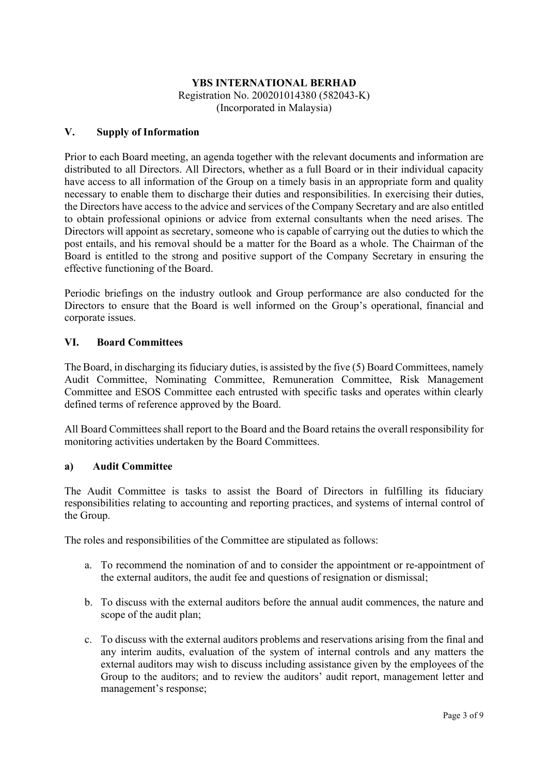## V. Supply of Information

Prior to each Board meeting, an agenda together with the relevant documents and information are distributed to all Directors. All Directors, whether as a full Board or in their individual capacity have access to all information of the Group on a timely basis in an appropriate form and quality necessary to enable them to discharge their duties and responsibilities. In exercising their duties, the Directors have access to the advice and services of the Company Secretary and are also entitled to obtain professional opinions or advice from external consultants when the need arises. The Directors will appoint as secretary, someone who is capable of carrying out the duties to which the post entails, and his removal should be a matter for the Board as a whole. The Chairman of the Board is entitled to the strong and positive support of the Company Secretary in ensuring the effective functioning of the Board.

Periodic briefings on the industry outlook and Group performance are also conducted for the Directors to ensure that the Board is well informed on the Group's operational, financial and corporate issues.

### VI. Board Committees

The Board, in discharging its fiduciary duties, is assisted by the five (5) Board Committees, namely Audit Committee, Nominating Committee, Remuneration Committee, Risk Management Committee and ESOS Committee each entrusted with specific tasks and operates within clearly defined terms of reference approved by the Board.

All Board Committees shall report to the Board and the Board retains the overall responsibility for monitoring activities undertaken by the Board Committees.

### a) Audit Committee

The Audit Committee is tasks to assist the Board of Directors in fulfilling its fiduciary responsibilities relating to accounting and reporting practices, and systems of internal control of the Group.

The roles and responsibilities of the Committee are stipulated as follows:

- a. To recommend the nomination of and to consider the appointment or re-appointment of the external auditors, the audit fee and questions of resignation or dismissal;
- b. To discuss with the external auditors before the annual audit commences, the nature and scope of the audit plan;
- c. To discuss with the external auditors problems and reservations arising from the final and any interim audits, evaluation of the system of internal controls and any matters the external auditors may wish to discuss including assistance given by the employees of the Group to the auditors; and to review the auditors' audit report, management letter and management's response;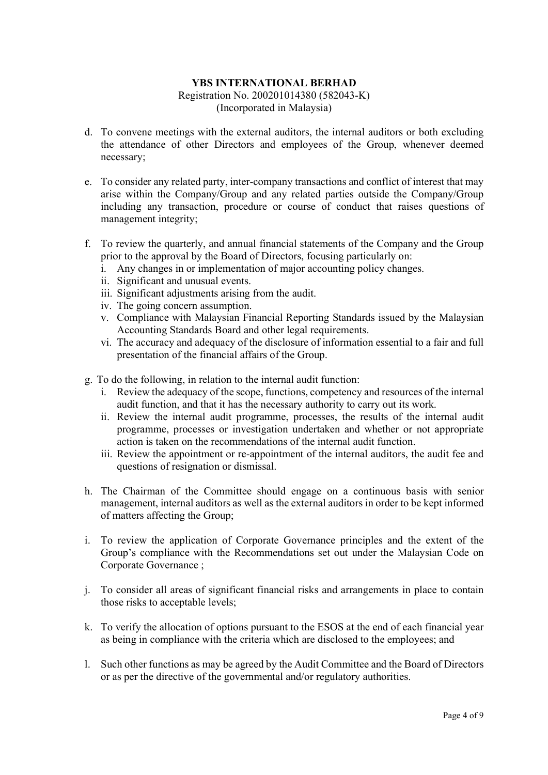- d. To convene meetings with the external auditors, the internal auditors or both excluding the attendance of other Directors and employees of the Group, whenever deemed necessary;
- e. To consider any related party, inter-company transactions and conflict of interest that may arise within the Company/Group and any related parties outside the Company/Group including any transaction, procedure or course of conduct that raises questions of management integrity;
- f. To review the quarterly, and annual financial statements of the Company and the Group prior to the approval by the Board of Directors, focusing particularly on:
	- i. Any changes in or implementation of major accounting policy changes.
	- ii. Significant and unusual events.
	- iii. Significant adjustments arising from the audit.
	- iv. The going concern assumption.
	- v. Compliance with Malaysian Financial Reporting Standards issued by the Malaysian Accounting Standards Board and other legal requirements.
	- vi. The accuracy and adequacy of the disclosure of information essential to a fair and full presentation of the financial affairs of the Group.
- g. To do the following, in relation to the internal audit function:
	- i. Review the adequacy of the scope, functions, competency and resources of the internal audit function, and that it has the necessary authority to carry out its work.
	- ii. Review the internal audit programme, processes, the results of the internal audit programme, processes or investigation undertaken and whether or not appropriate action is taken on the recommendations of the internal audit function.
	- iii. Review the appointment or re-appointment of the internal auditors, the audit fee and questions of resignation or dismissal.
- h. The Chairman of the Committee should engage on a continuous basis with senior management, internal auditors as well as the external auditors in order to be kept informed of matters affecting the Group;
- i. To review the application of Corporate Governance principles and the extent of the Group's compliance with the Recommendations set out under the Malaysian Code on Corporate Governance ;
- j. To consider all areas of significant financial risks and arrangements in place to contain those risks to acceptable levels;
- k. To verify the allocation of options pursuant to the ESOS at the end of each financial year as being in compliance with the criteria which are disclosed to the employees; and
- l. Such other functions as may be agreed by the Audit Committee and the Board of Directors or as per the directive of the governmental and/or regulatory authorities.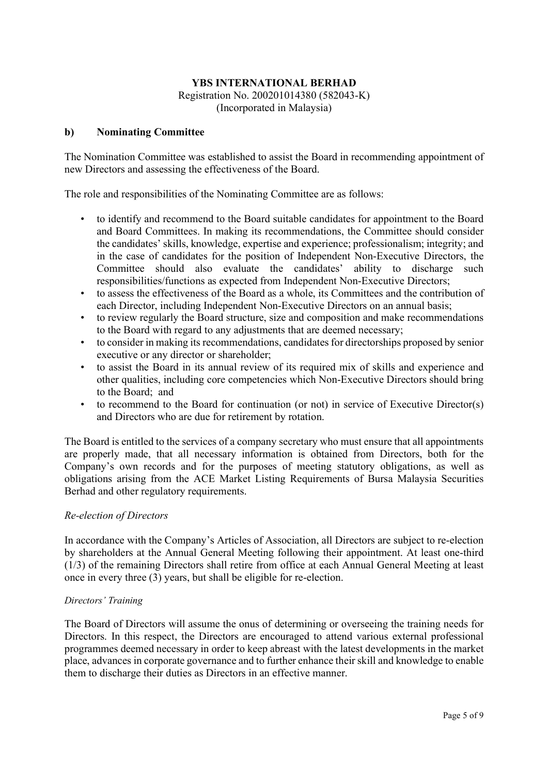#### b) Nominating Committee

The Nomination Committee was established to assist the Board in recommending appointment of new Directors and assessing the effectiveness of the Board.

The role and responsibilities of the Nominating Committee are as follows:

- to identify and recommend to the Board suitable candidates for appointment to the Board and Board Committees. In making its recommendations, the Committee should consider the candidates' skills, knowledge, expertise and experience; professionalism; integrity; and in the case of candidates for the position of Independent Non-Executive Directors, the Committee should also evaluate the candidates' ability to discharge such responsibilities/functions as expected from Independent Non-Executive Directors;
- to assess the effectiveness of the Board as a whole, its Committees and the contribution of each Director, including Independent Non-Executive Directors on an annual basis;
- to review regularly the Board structure, size and composition and make recommendations to the Board with regard to any adjustments that are deemed necessary;
- to consider in making its recommendations, candidates for directorships proposed by senior executive or any director or shareholder;
- to assist the Board in its annual review of its required mix of skills and experience and other qualities, including core competencies which Non-Executive Directors should bring to the Board; and
- to recommend to the Board for continuation (or not) in service of Executive Director(s) and Directors who are due for retirement by rotation.

The Board is entitled to the services of a company secretary who must ensure that all appointments are properly made, that all necessary information is obtained from Directors, both for the Company's own records and for the purposes of meeting statutory obligations, as well as obligations arising from the ACE Market Listing Requirements of Bursa Malaysia Securities Berhad and other regulatory requirements.

#### Re-election of Directors

In accordance with the Company's Articles of Association, all Directors are subject to re-election by shareholders at the Annual General Meeting following their appointment. At least one-third (1/3) of the remaining Directors shall retire from office at each Annual General Meeting at least once in every three (3) years, but shall be eligible for re-election.

#### Directors' Training

The Board of Directors will assume the onus of determining or overseeing the training needs for Directors. In this respect, the Directors are encouraged to attend various external professional programmes deemed necessary in order to keep abreast with the latest developments in the market place, advances in corporate governance and to further enhance their skill and knowledge to enable them to discharge their duties as Directors in an effective manner.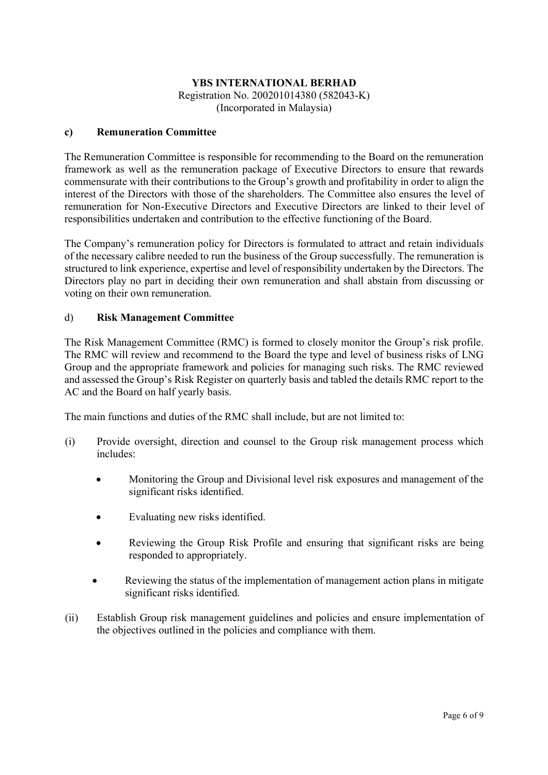## c) Remuneration Committee

The Remuneration Committee is responsible for recommending to the Board on the remuneration framework as well as the remuneration package of Executive Directors to ensure that rewards commensurate with their contributions to the Group's growth and profitability in order to align the interest of the Directors with those of the shareholders. The Committee also ensures the level of remuneration for Non-Executive Directors and Executive Directors are linked to their level of responsibilities undertaken and contribution to the effective functioning of the Board.

The Company's remuneration policy for Directors is formulated to attract and retain individuals of the necessary calibre needed to run the business of the Group successfully. The remuneration is structured to link experience, expertise and level of responsibility undertaken by the Directors. The Directors play no part in deciding their own remuneration and shall abstain from discussing or voting on their own remuneration.

### d) Risk Management Committee

The Risk Management Committee (RMC) is formed to closely monitor the Group's risk profile. The RMC will review and recommend to the Board the type and level of business risks of LNG Group and the appropriate framework and policies for managing such risks. The RMC reviewed and assessed the Group's Risk Register on quarterly basis and tabled the details RMC report to the AC and the Board on half yearly basis.

The main functions and duties of the RMC shall include, but are not limited to:

- (i) Provide oversight, direction and counsel to the Group risk management process which includes:
	- Monitoring the Group and Divisional level risk exposures and management of the significant risks identified.
	- Evaluating new risks identified.
	- Reviewing the Group Risk Profile and ensuring that significant risks are being responded to appropriately.
	- Reviewing the status of the implementation of management action plans in mitigate significant risks identified.
- (ii) Establish Group risk management guidelines and policies and ensure implementation of the objectives outlined in the policies and compliance with them.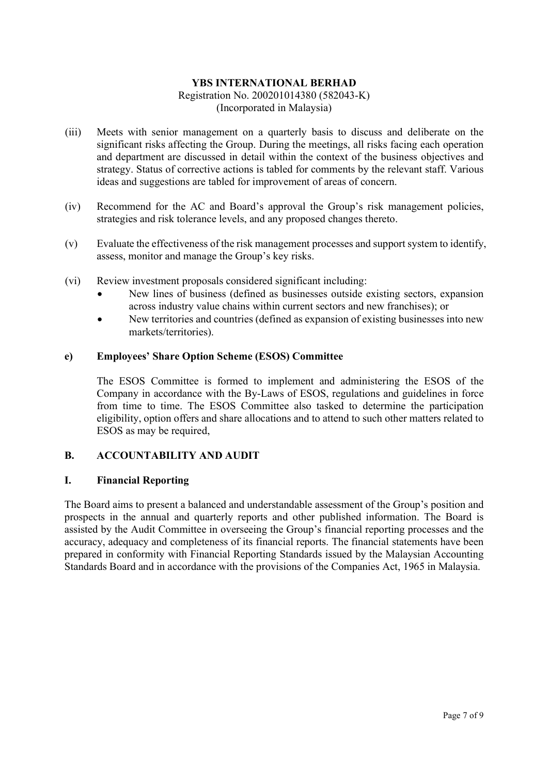- (iii) Meets with senior management on a quarterly basis to discuss and deliberate on the significant risks affecting the Group. During the meetings, all risks facing each operation and department are discussed in detail within the context of the business objectives and strategy. Status of corrective actions is tabled for comments by the relevant staff. Various ideas and suggestions are tabled for improvement of areas of concern.
- (iv) Recommend for the AC and Board's approval the Group's risk management policies, strategies and risk tolerance levels, and any proposed changes thereto.
- (v) Evaluate the effectiveness of the risk management processes and support system to identify, assess, monitor and manage the Group's key risks.
- (vi) Review investment proposals considered significant including:
	- New lines of business (defined as businesses outside existing sectors, expansion across industry value chains within current sectors and new franchises); or
	- New territories and countries (defined as expansion of existing businesses into new markets/territories).

#### e) Employees' Share Option Scheme (ESOS) Committee

The ESOS Committee is formed to implement and administering the ESOS of the Company in accordance with the By-Laws of ESOS, regulations and guidelines in force from time to time. The ESOS Committee also tasked to determine the participation eligibility, option offers and share allocations and to attend to such other matters related to ESOS as may be required,

### B. ACCOUNTABILITY AND AUDIT

#### I. Financial Reporting

The Board aims to present a balanced and understandable assessment of the Group's position and prospects in the annual and quarterly reports and other published information. The Board is assisted by the Audit Committee in overseeing the Group's financial reporting processes and the accuracy, adequacy and completeness of its financial reports. The financial statements have been prepared in conformity with Financial Reporting Standards issued by the Malaysian Accounting Standards Board and in accordance with the provisions of the Companies Act, 1965 in Malaysia.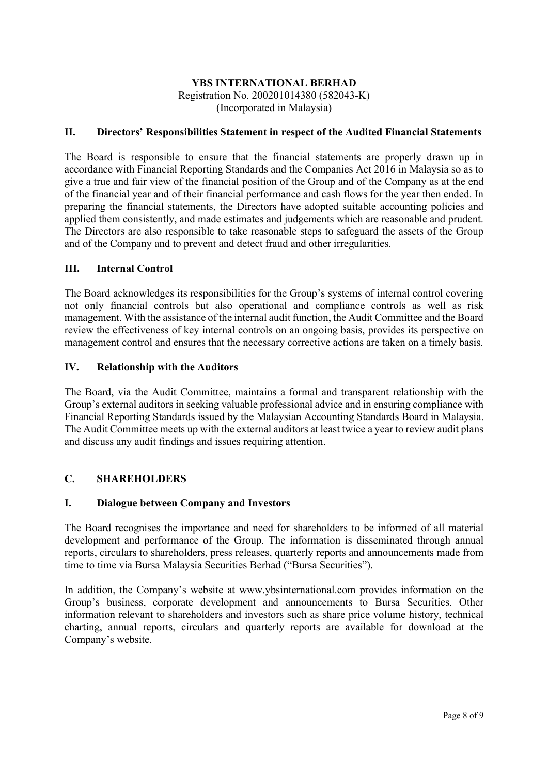## II. Directors' Responsibilities Statement in respect of the Audited Financial Statements

The Board is responsible to ensure that the financial statements are properly drawn up in accordance with Financial Reporting Standards and the Companies Act 2016 in Malaysia so as to give a true and fair view of the financial position of the Group and of the Company as at the end of the financial year and of their financial performance and cash flows for the year then ended. In preparing the financial statements, the Directors have adopted suitable accounting policies and applied them consistently, and made estimates and judgements which are reasonable and prudent. The Directors are also responsible to take reasonable steps to safeguard the assets of the Group and of the Company and to prevent and detect fraud and other irregularities.

#### III. Internal Control

The Board acknowledges its responsibilities for the Group's systems of internal control covering not only financial controls but also operational and compliance controls as well as risk management. With the assistance of the internal audit function, the Audit Committee and the Board review the effectiveness of key internal controls on an ongoing basis, provides its perspective on management control and ensures that the necessary corrective actions are taken on a timely basis.

#### IV. Relationship with the Auditors

The Board, via the Audit Committee, maintains a formal and transparent relationship with the Group's external auditors in seeking valuable professional advice and in ensuring compliance with Financial Reporting Standards issued by the Malaysian Accounting Standards Board in Malaysia. The Audit Committee meets up with the external auditors at least twice a year to review audit plans and discuss any audit findings and issues requiring attention.

### C. SHAREHOLDERS

### I. Dialogue between Company and Investors

The Board recognises the importance and need for shareholders to be informed of all material development and performance of the Group. The information is disseminated through annual reports, circulars to shareholders, press releases, quarterly reports and announcements made from time to time via Bursa Malaysia Securities Berhad ("Bursa Securities").

In addition, the Company's website at www.ybsinternational.com provides information on the Group's business, corporate development and announcements to Bursa Securities. Other information relevant to shareholders and investors such as share price volume history, technical charting, annual reports, circulars and quarterly reports are available for download at the Company's website.